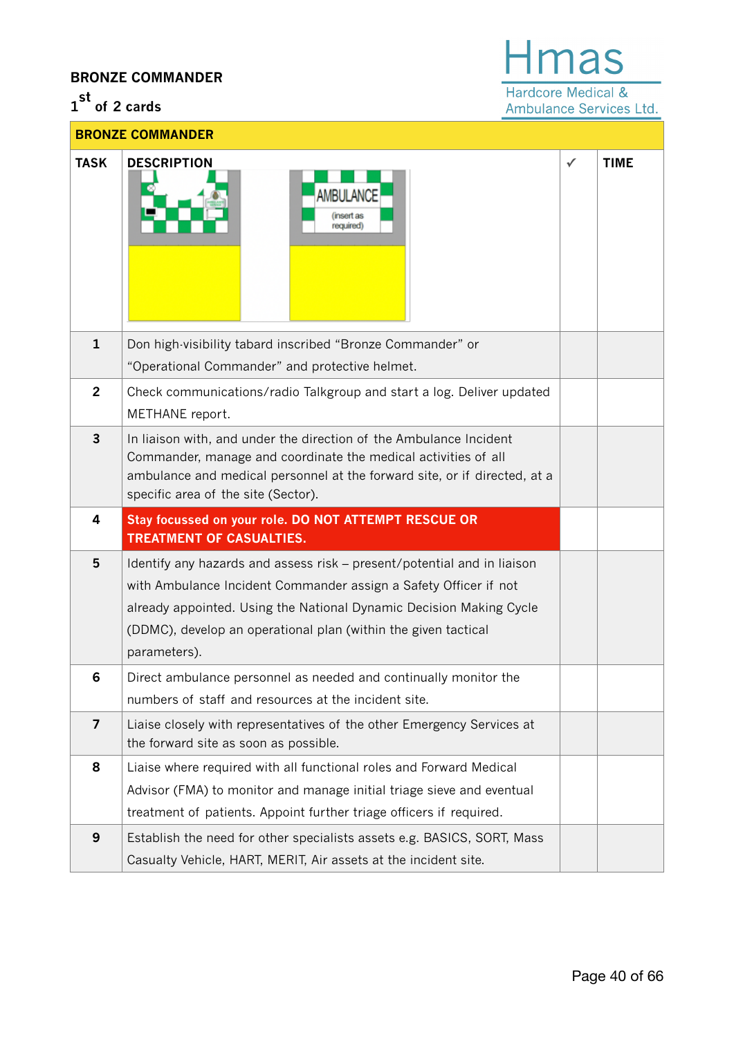## **BRONZE COMMANDER**

## **1 st of 2 cards**



Ambulance Services Ltd.

| <b>BRONZE COMMANDER</b> |                                                                                                                                                                                                                                                                                                      |   |             |  |  |
|-------------------------|------------------------------------------------------------------------------------------------------------------------------------------------------------------------------------------------------------------------------------------------------------------------------------------------------|---|-------------|--|--|
| <b>TASK</b>             | <b>DESCRIPTION</b><br><b>AMBULANCE</b><br>(insert as<br>required)                                                                                                                                                                                                                                    | ✓ | <b>TIME</b> |  |  |
| $\mathbf{1}$            | Don high-visibility tabard inscribed "Bronze Commander" or<br>"Operational Commander" and protective helmet.                                                                                                                                                                                         |   |             |  |  |
| $\overline{2}$          | Check communications/radio Talkgroup and start a log. Deliver updated<br>METHANE report.                                                                                                                                                                                                             |   |             |  |  |
| 3                       | In liaison with, and under the direction of the Ambulance Incident<br>Commander, manage and coordinate the medical activities of all<br>ambulance and medical personnel at the forward site, or if directed, at a<br>specific area of the site (Sector).                                             |   |             |  |  |
| 4                       | Stay focussed on your role. DO NOT ATTEMPT RESCUE OR<br><b>TREATMENT OF CASUALTIES.</b>                                                                                                                                                                                                              |   |             |  |  |
| 5                       | Identify any hazards and assess risk - present/potential and in liaison<br>with Ambulance Incident Commander assign a Safety Officer if not<br>already appointed. Using the National Dynamic Decision Making Cycle<br>(DDMC), develop an operational plan (within the given tactical<br>parameters). |   |             |  |  |
| 6                       | Direct ambulance personnel as needed and continually monitor the<br>numbers of staff and resources at the incident site.                                                                                                                                                                             |   |             |  |  |
| $\overline{\mathbf{z}}$ | Liaise closely with representatives of the other Emergency Services at<br>the forward site as soon as possible.                                                                                                                                                                                      |   |             |  |  |
| 8                       | Liaise where required with all functional roles and Forward Medical<br>Advisor (FMA) to monitor and manage initial triage sieve and eventual<br>treatment of patients. Appoint further triage officers if required.                                                                                  |   |             |  |  |
| 9                       | Establish the need for other specialists assets e.g. BASICS, SORT, Mass<br>Casualty Vehicle, HART, MERIT, Air assets at the incident site.                                                                                                                                                           |   |             |  |  |